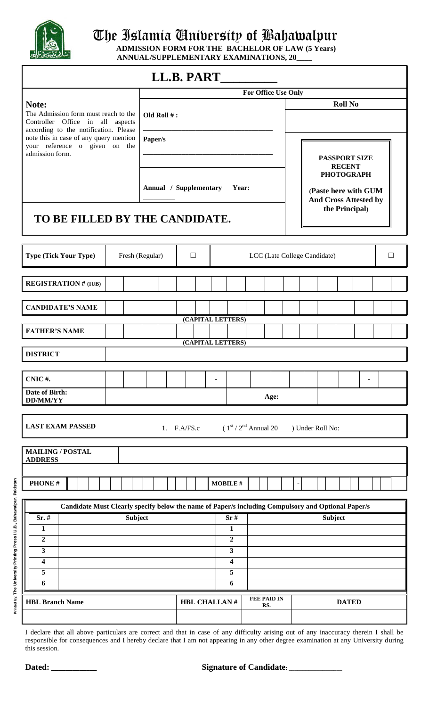

### $\left(\begin{array}{c|c} \left\Vert \boldsymbol{\zeta}\right\Vert & \text{where } \boldsymbol{\zeta} \text{ is the normal matrix and } \boldsymbol{\zeta} \text{ is the unit matrix.}\end{array}\right)$

**ADMISSION FORM FOR THE BACHELOR OF LAW (5 Years) ANNUAL/SUPPLEMENTARY EXAMINATIONS, 20\_\_\_\_**

# $\mathbf{D} \cdot \mathbf{D} \mathbf{T}$

|                                                                                                                                     |                                            | LL.B. PART          |                                                    |  |                                             |                                                                                                                                      |  |                |  |  |        |
|-------------------------------------------------------------------------------------------------------------------------------------|--------------------------------------------|---------------------|----------------------------------------------------|--|---------------------------------------------|--------------------------------------------------------------------------------------------------------------------------------------|--|----------------|--|--|--------|
|                                                                                                                                     | For Office Use Only                        |                     |                                                    |  |                                             |                                                                                                                                      |  |                |  |  |        |
| Note:<br>The Admission form must reach to the<br>Controller Office in all<br>aspects                                                | Old Roll #:                                |                     |                                                    |  |                                             |                                                                                                                                      |  | <b>Roll No</b> |  |  |        |
| according to the notification. Please<br>note this in case of any query mention<br>your reference o given on the<br>admission form. | Paper/s<br>Annual / Supplementary<br>Year: |                     |                                                    |  |                                             |                                                                                                                                      |  |                |  |  |        |
| TO BE FILLED BY THE CANDIDATE.                                                                                                      |                                            |                     |                                                    |  |                                             | <b>PASSPORT SIZE</b><br><b>RECENT</b><br><b>PHOTOGRAPH</b><br>(Paste here with GUM<br><b>And Cross Attested by</b><br>the Principal) |  |                |  |  |        |
| <b>Type (Tick Your Type)</b>                                                                                                        | $\Box$<br>Fresh (Regular)                  |                     |                                                    |  |                                             | LCC (Late College Candidate)                                                                                                         |  |                |  |  | $\Box$ |
| <b>REGISTRATION # (IUB)</b>                                                                                                         |                                            |                     |                                                    |  |                                             |                                                                                                                                      |  |                |  |  |        |
| <b>CANDIDATE'S NAME</b>                                                                                                             |                                            | (CAPITAL LETTERS)   |                                                    |  |                                             |                                                                                                                                      |  |                |  |  |        |
| <b>FATHER'S NAME</b>                                                                                                                |                                            | (CAPITAL LETTERS)   |                                                    |  |                                             |                                                                                                                                      |  |                |  |  |        |
| <b>DISTRICT</b>                                                                                                                     |                                            |                     |                                                    |  |                                             |                                                                                                                                      |  |                |  |  |        |
| CNIC#.<br>Date of Birth:                                                                                                            |                                            |                     |                                                    |  |                                             |                                                                                                                                      |  |                |  |  |        |
| <b>DD/MM/YY</b>                                                                                                                     |                                            |                     |                                                    |  | Age:                                        |                                                                                                                                      |  |                |  |  |        |
| <b>LAST EXAM PASSED</b>                                                                                                             |                                            | 1. $F.A/FS.c$       |                                                    |  | $(1st / 2nd Annual 20$ Under Roll No: _____ |                                                                                                                                      |  |                |  |  |        |
| <b>MAILING / POSTAL</b><br><b>ADDRESS</b>                                                                                           |                                            |                     |                                                    |  |                                             |                                                                                                                                      |  |                |  |  |        |
| PHONE#                                                                                                                              |                                            |                     | <b>MOBILE#</b>                                     |  |                                             | $\blacksquare$                                                                                                                       |  |                |  |  |        |
| Candidate Must Clearly specify below the name of Paper/s including Compulsory and Optional Paper/s                                  |                                            |                     |                                                    |  |                                             |                                                                                                                                      |  |                |  |  |        |
| <b>Subject</b><br>$Sr.$ #                                                                                                           |                                            |                     | Sr#                                                |  | <b>Subject</b>                              |                                                                                                                                      |  |                |  |  |        |
| 1                                                                                                                                   |                                            |                     | $\mathbf{1}$                                       |  |                                             |                                                                                                                                      |  |                |  |  |        |
| $\mathbf{2}$                                                                                                                        |                                            |                     | $\overline{2}$                                     |  |                                             |                                                                                                                                      |  |                |  |  |        |
| $\mathbf{3}$<br>4                                                                                                                   |                                            |                     | $\overline{\mathbf{3}}$<br>$\overline{\mathbf{4}}$ |  |                                             |                                                                                                                                      |  |                |  |  |        |
| 5                                                                                                                                   |                                            |                     | 5                                                  |  |                                             |                                                                                                                                      |  |                |  |  |        |
| 6                                                                                                                                   |                                            |                     | 6                                                  |  |                                             |                                                                                                                                      |  |                |  |  |        |
| <b>HBL Branch Name</b>                                                                                                              |                                            | <b>HBL CHALLAN#</b> |                                                    |  | <b>FEE PAID IN</b><br>RS.                   |                                                                                                                                      |  | <b>DATED</b>   |  |  |        |
|                                                                                                                                     |                                            |                     |                                                    |  |                                             |                                                                                                                                      |  |                |  |  |        |

I declare that all above particulars are correct and that in case of any difficulty arising out of any inaccuracy therein I shall be responsible for consequences and I hereby declare that I am not appearing in any other degree examination at any University during this session.